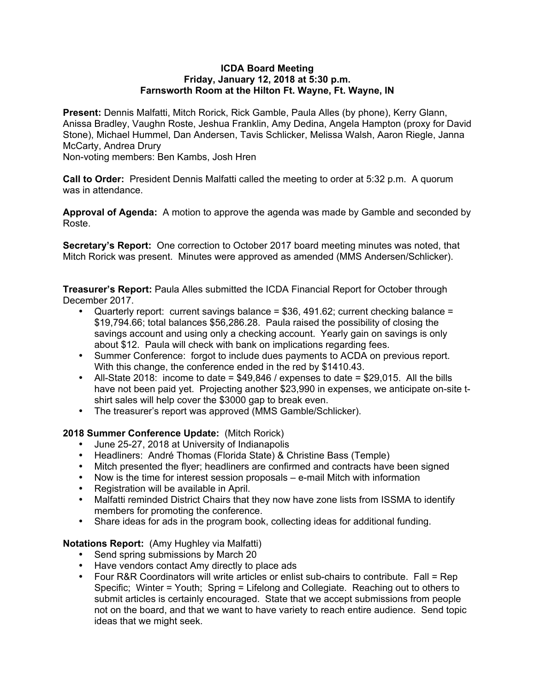#### **ICDA Board Meeting Friday, January 12, 2018 at 5:30 p.m. Farnsworth Room at the Hilton Ft. Wayne, Ft. Wayne, IN**

**Present:** Dennis Malfatti, Mitch Rorick, Rick Gamble, Paula Alles (by phone), Kerry Glann, Anissa Bradley, Vaughn Roste, Jeshua Franklin, Amy Dedina, Angela Hampton (proxy for David Stone), Michael Hummel, Dan Andersen, Tavis Schlicker, Melissa Walsh, Aaron Riegle, Janna McCarty, Andrea Drury

Non-voting members: Ben Kambs, Josh Hren

**Call to Order:** President Dennis Malfatti called the meeting to order at 5:32 p.m. A quorum was in attendance.

**Approval of Agenda:** A motion to approve the agenda was made by Gamble and seconded by Roste.

**Secretary's Report:** One correction to October 2017 board meeting minutes was noted, that Mitch Rorick was present. Minutes were approved as amended (MMS Andersen/Schlicker).

**Treasurer's Report:** Paula Alles submitted the ICDA Financial Report for October through December 2017.

- Quarterly report: current savings balance =  $$36, 491.62$ ; current checking balance = \$19,794.66; total balances \$56,286.28. Paula raised the possibility of closing the savings account and using only a checking account. Yearly gain on savings is only about \$12. Paula will check with bank on implications regarding fees.
- Summer Conference: forgot to include dues payments to ACDA on previous report. With this change, the conference ended in the red by \$1410.43.
- All-State 2018: income to date  $= $49,846$  / expenses to date  $= $29,015$ . All the bills have not been paid yet. Projecting another \$23,990 in expenses, we anticipate on-site tshirt sales will help cover the \$3000 gap to break even.
- The treasurer's report was approved (MMS Gamble/Schlicker).

## **2018 Summer Conference Update:** (Mitch Rorick)

- June 25-27, 2018 at University of Indianapolis
- Headliners: André Thomas (Florida State) & Christine Bass (Temple)
- Mitch presented the flyer; headliners are confirmed and contracts have been signed
- Now is the time for interest session proposals e-mail Mitch with information
- Registration will be available in April.
- Malfatti reminded District Chairs that they now have zone lists from ISSMA to identify members for promoting the conference.
- Share ideas for ads in the program book, collecting ideas for additional funding.

## **Notations Report:** (Amy Hughley via Malfatti)

- Send spring submissions by March 20
- Have vendors contact Amy directly to place ads
- Four R&R Coordinators will write articles or enlist sub-chairs to contribute. Fall = Rep Specific; Winter = Youth; Spring = Lifelong and Collegiate. Reaching out to others to submit articles is certainly encouraged. State that we accept submissions from people not on the board, and that we want to have variety to reach entire audience. Send topic ideas that we might seek.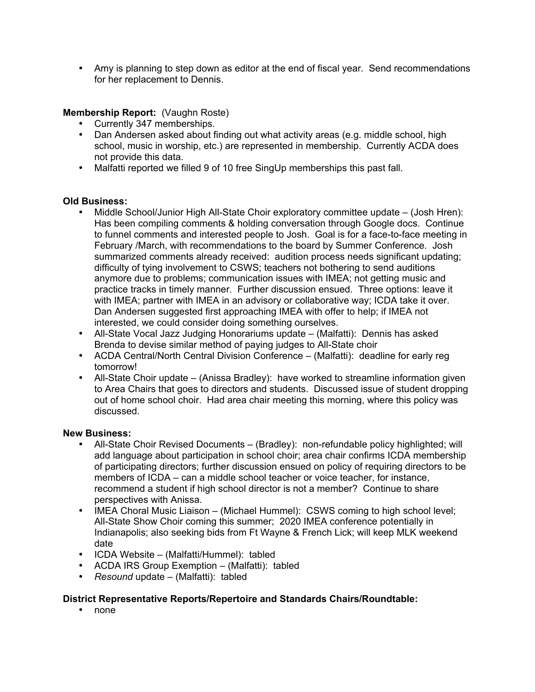• Amy is planning to step down as editor at the end of fiscal year. Send recommendations for her replacement to Dennis.

## **Membership Report:** (Vaughn Roste)

- Currently 347 memberships.
- Dan Andersen asked about finding out what activity areas (e.g. middle school, high school, music in worship, etc.) are represented in membership. Currently ACDA does not provide this data.
- Malfatti reported we filled 9 of 10 free SingUp memberships this past fall.

## **Old Business:**

- Middle School/Junior High All-State Choir exploratory committee update (Josh Hren): Has been compiling comments & holding conversation through Google docs. Continue to funnel comments and interested people to Josh. Goal is for a face-to-face meeting in February /March, with recommendations to the board by Summer Conference. Josh summarized comments already received: audition process needs significant updating; difficulty of tying involvement to CSWS; teachers not bothering to send auditions anymore due to problems; communication issues with IMEA; not getting music and practice tracks in timely manner. Further discussion ensued. Three options: leave it with IMEA; partner with IMEA in an advisory or collaborative way; ICDA take it over. Dan Andersen suggested first approaching IMEA with offer to help; if IMEA not interested, we could consider doing something ourselves.
- All-State Vocal Jazz Judging Honorariums update (Malfatti): Dennis has asked Brenda to devise similar method of paying judges to All-State choir
- ACDA Central/North Central Division Conference (Malfatti): deadline for early reg tomorrow!
- All-State Choir update (Anissa Bradley): have worked to streamline information given to Area Chairs that goes to directors and students. Discussed issue of student dropping out of home school choir. Had area chair meeting this morning, where this policy was discussed.

## **New Business:**

- All-State Choir Revised Documents (Bradley): non-refundable policy highlighted; will add language about participation in school choir; area chair confirms ICDA membership of participating directors; further discussion ensued on policy of requiring directors to be members of ICDA – can a middle school teacher or voice teacher, for instance, recommend a student if high school director is not a member? Continue to share perspectives with Anissa.
- IMEA Choral Music Liaison (Michael Hummel): CSWS coming to high school level; All-State Show Choir coming this summer; 2020 IMEA conference potentially in Indianapolis; also seeking bids from Ft Wayne & French Lick; will keep MLK weekend date
- ICDA Website (Malfatti/Hummel): tabled
- ACDA IRS Group Exemption (Malfatti): tabled
- *Resound* update (Malfatti): tabled

# **District Representative Reports/Repertoire and Standards Chairs/Roundtable:**

• none